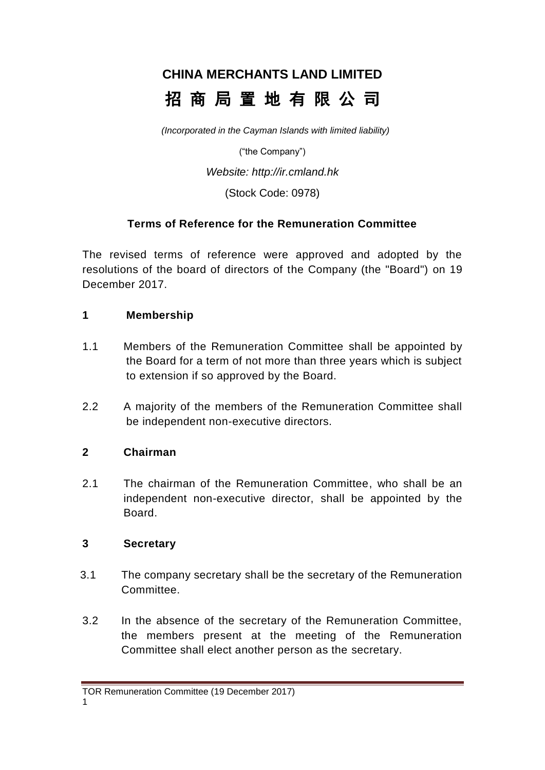# **CHINA MERCHANTS LAND LIMITED** 招 商 局 置 地 有 限 公 司

*(Incorporated in the Cayman Islands with limited liability)*

("the Company")

*Website: http://ir.cmland.hk*

(Stock Code: 0978)

### **Terms of Reference for the Remuneration Committee**

The revised terms of reference were approved and adopted by the resolutions of the board of directors of the Company (the "Board") on 19 December 2017.

### **1 Membership**

- 1.1 Members of the Remuneration Committee shall be appointed by the Board for a term of not more than three years which is subject to extension if so approved by the Board.
- 2.2 A majority of the members of the Remuneration Committee shall be independent non-executive directors.

### **2 Chairman**

2.1 The chairman of the Remuneration Committee, who shall be an independent non-executive director, shall be appointed by the Board.

## **3 Secretary**

- 3.1 The company secretary shall be the secretary of the Remuneration Committee.
- 3.2 In the absence of the secretary of the Remuneration Committee, the members present at the meeting of the Remuneration Committee shall elect another person as the secretary.

TOR Remuneration Committee (19 December 2017)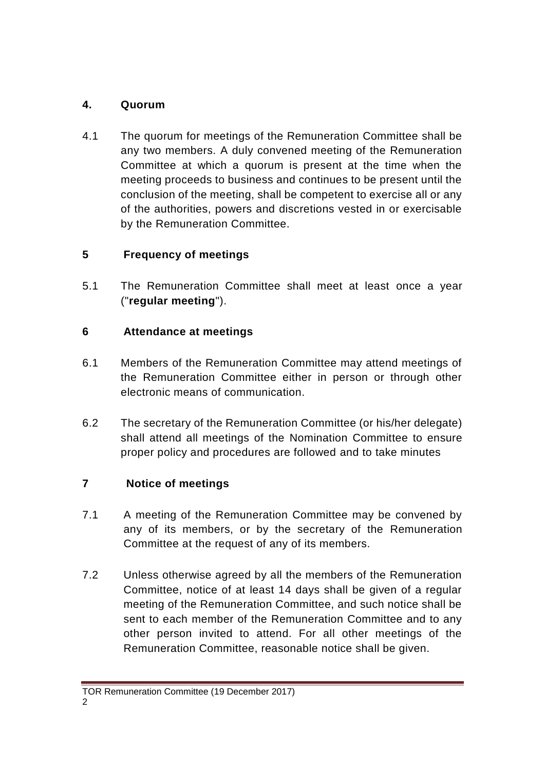## **4. Quorum**

4.1 The quorum for meetings of the Remuneration Committee shall be any two members. A duly convened meeting of the Remuneration Committee at which a quorum is present at the time when the meeting proceeds to business and continues to be present until the conclusion of the meeting, shall be competent to exercise all or any of the authorities, powers and discretions vested in or exercisable by the Remuneration Committee.

# **5 Frequency of meetings**

5.1 The Remuneration Committee shall meet at least once a year ("**regular meeting**").

# **6 Attendance at meetings**

- 6.1 Members of the Remuneration Committee may attend meetings of the Remuneration Committee either in person or through other electronic means of communication.
- 6.2 The secretary of the Remuneration Committee (or his/her delegate) shall attend all meetings of the Nomination Committee to ensure proper policy and procedures are followed and to take minutes

# **7 Notice of meetings**

- 7.1 A meeting of the Remuneration Committee may be convened by any of its members, or by the secretary of the Remuneration Committee at the request of any of its members.
- 7.2 Unless otherwise agreed by all the members of the Remuneration Committee, notice of at least 14 days shall be given of a regular meeting of the Remuneration Committee, and such notice shall be sent to each member of the Remuneration Committee and to any other person invited to attend. For all other meetings of the Remuneration Committee, reasonable notice shall be given.

TOR Remuneration Committee (19 December 2017)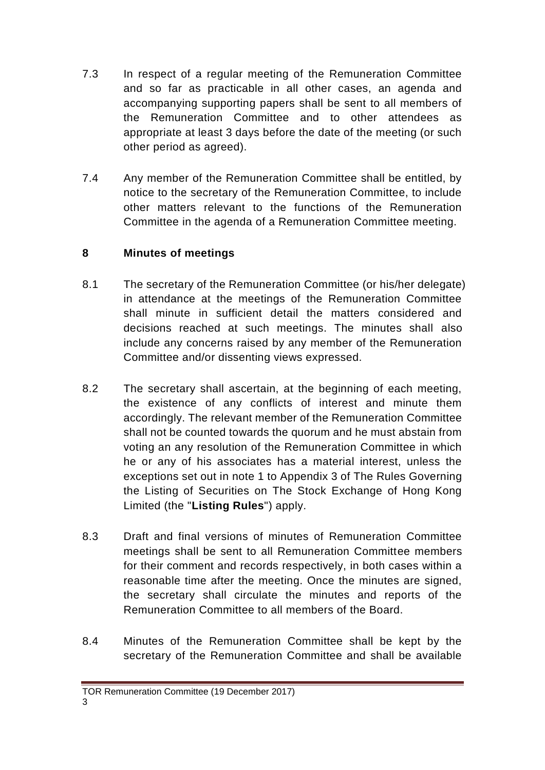- 7.3 In respect of a regular meeting of the Remuneration Committee and so far as practicable in all other cases, an agenda and accompanying supporting papers shall be sent to all members of the Remuneration Committee and to other attendees as appropriate at least 3 days before the date of the meeting (or such other period as agreed).
- 7.4 Any member of the Remuneration Committee shall be entitled, by notice to the secretary of the Remuneration Committee, to include other matters relevant to the functions of the Remuneration Committee in the agenda of a Remuneration Committee meeting.

## **8 Minutes of meetings**

- 8.1 The secretary of the Remuneration Committee (or his/her delegate) in attendance at the meetings of the Remuneration Committee shall minute in sufficient detail the matters considered and decisions reached at such meetings. The minutes shall also include any concerns raised by any member of the Remuneration Committee and/or dissenting views expressed.
- 8.2 The secretary shall ascertain, at the beginning of each meeting, the existence of any conflicts of interest and minute them accordingly. The relevant member of the Remuneration Committee shall not be counted towards the quorum and he must abstain from voting an any resolution of the Remuneration Committee in which he or any of his associates has a material interest, unless the exceptions set out in note 1 to Appendix 3 of The Rules Governing the Listing of Securities on The Stock Exchange of Hong Kong Limited (the "**Listing Rules**") apply.
- 8.3 Draft and final versions of minutes of Remuneration Committee meetings shall be sent to all Remuneration Committee members for their comment and records respectively, in both cases within a reasonable time after the meeting. Once the minutes are signed, the secretary shall circulate the minutes and reports of the Remuneration Committee to all members of the Board.
- 8.4 Minutes of the Remuneration Committee shall be kept by the secretary of the Remuneration Committee and shall be available

TOR Remuneration Committee (19 December 2017)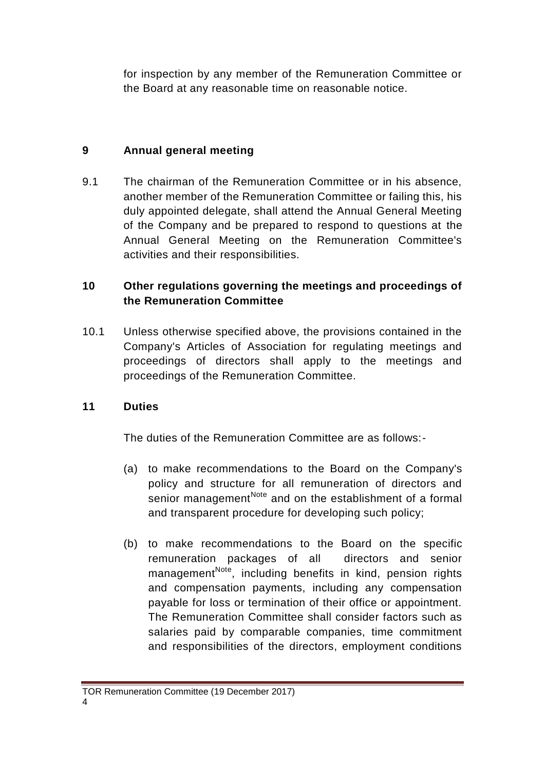for inspection by any member of the Remuneration Committee or the Board at any reasonable time on reasonable notice.

## **9 Annual general meeting**

9.1 The chairman of the Remuneration Committee or in his absence, another member of the Remuneration Committee or failing this, his duly appointed delegate, shall attend the Annual General Meeting of the Company and be prepared to respond to questions at the Annual General Meeting on the Remuneration Committee's activities and their responsibilities.

# **10 Other regulations governing the meetings and proceedings of the Remuneration Committee**

10.1 Unless otherwise specified above, the provisions contained in the Company's Articles of Association for regulating meetings and proceedings of directors shall apply to the meetings and proceedings of the Remuneration Committee.

# **11 Duties**

The duties of the Remuneration Committee are as follows:-

- (a) to make recommendations to the Board on the Company's policy and structure for all remuneration of directors and senior management<sup>Note</sup> and on the establishment of a formal and transparent procedure for developing such policy;
- (b) to make recommendations to the Board on the specific remuneration packages of all directors and senior management<sup>Note</sup>, including benefits in kind, pension rights and compensation payments, including any compensation payable for loss or termination of their office or appointment. The Remuneration Committee shall consider factors such as salaries paid by comparable companies, time commitment and responsibilities of the directors, employment conditions

# TOR Remuneration Committee (19 December 2017)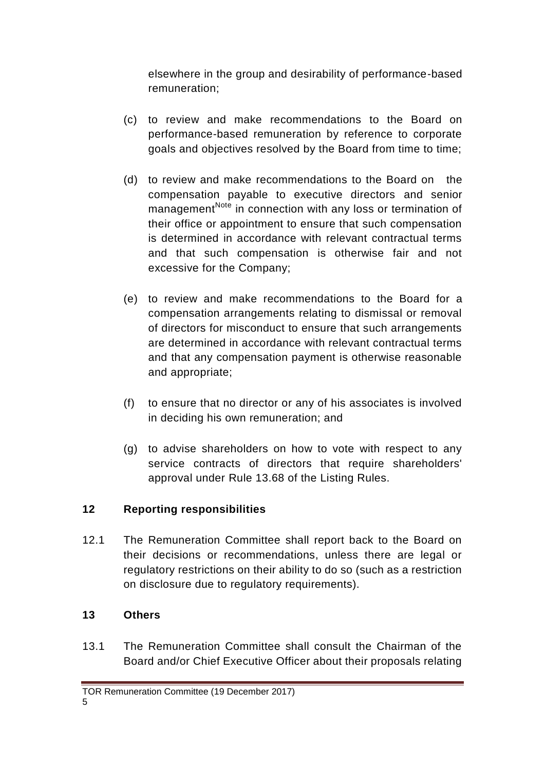elsewhere in the group and desirability of performance-based remuneration;

- (c) to review and make recommendations to the Board on performance-based remuneration by reference to corporate goals and objectives resolved by the Board from time to time;
- (d) to review and make recommendations to the Board on the compensation payable to executive directors and senior management<sup>Note</sup> in connection with any loss or termination of their office or appointment to ensure that such compensation is determined in accordance with relevant contractual terms and that such compensation is otherwise fair and not excessive for the Company;
- (e) to review and make recommendations to the Board for a compensation arrangements relating to dismissal or removal of directors for misconduct to ensure that such arrangements are determined in accordance with relevant contractual terms and that any compensation payment is otherwise reasonable and appropriate;
- (f) to ensure that no director or any of his associates is involved in deciding his own remuneration; and
- (g) to advise shareholders on how to vote with respect to any service contracts of directors that require shareholders' approval under Rule 13.68 of the Listing Rules.

# **12 Reporting responsibilities**

12.1 The Remuneration Committee shall report back to the Board on their decisions or recommendations, unless there are legal or regulatory restrictions on their ability to do so (such as a restriction on disclosure due to regulatory requirements).

# **13 Others**

13.1 The Remuneration Committee shall consult the Chairman of the Board and/or Chief Executive Officer about their proposals relating

TOR Remuneration Committee (19 December 2017)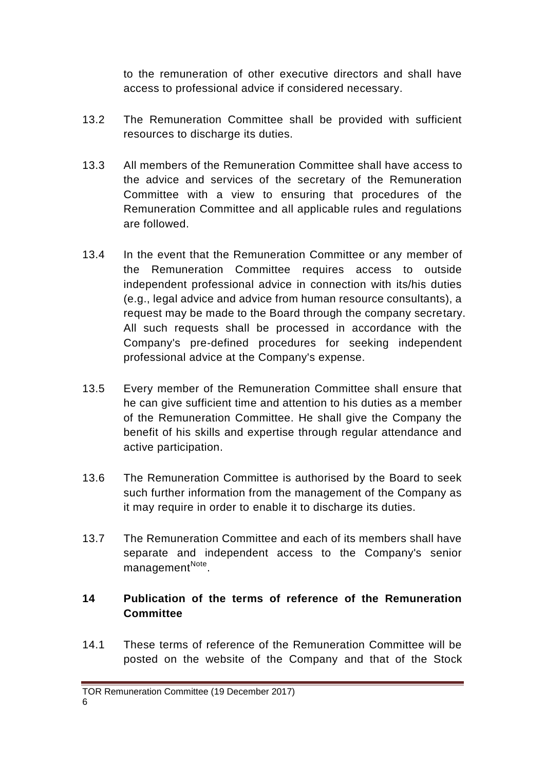to the remuneration of other executive directors and shall have access to professional advice if considered necessary.

- 13.2 The Remuneration Committee shall be provided with sufficient resources to discharge its duties.
- 13.3 All members of the Remuneration Committee shall have access to the advice and services of the secretary of the Remuneration Committee with a view to ensuring that procedures of the Remuneration Committee and all applicable rules and regulations are followed.
- 13.4 In the event that the Remuneration Committee or any member of the Remuneration Committee requires access to outside independent professional advice in connection with its/his duties (e.g., legal advice and advice from human resource consultants), a request may be made to the Board through the company secretary. All such requests shall be processed in accordance with the Company's pre-defined procedures for seeking independent professional advice at the Company's expense.
- 13.5 Every member of the Remuneration Committee shall ensure that he can give sufficient time and attention to his duties as a member of the Remuneration Committee. He shall give the Company the benefit of his skills and expertise through regular attendance and active participation.
- 13.6 The Remuneration Committee is authorised by the Board to seek such further information from the management of the Company as it may require in order to enable it to discharge its duties.
- 13.7 The Remuneration Committee and each of its members shall have separate and independent access to the Company's senior management<sup>Note</sup>.

## **14 Publication of the terms of reference of the Remuneration Committee**

14.1 These terms of reference of the Remuneration Committee will be posted on the website of the Company and that of the Stock